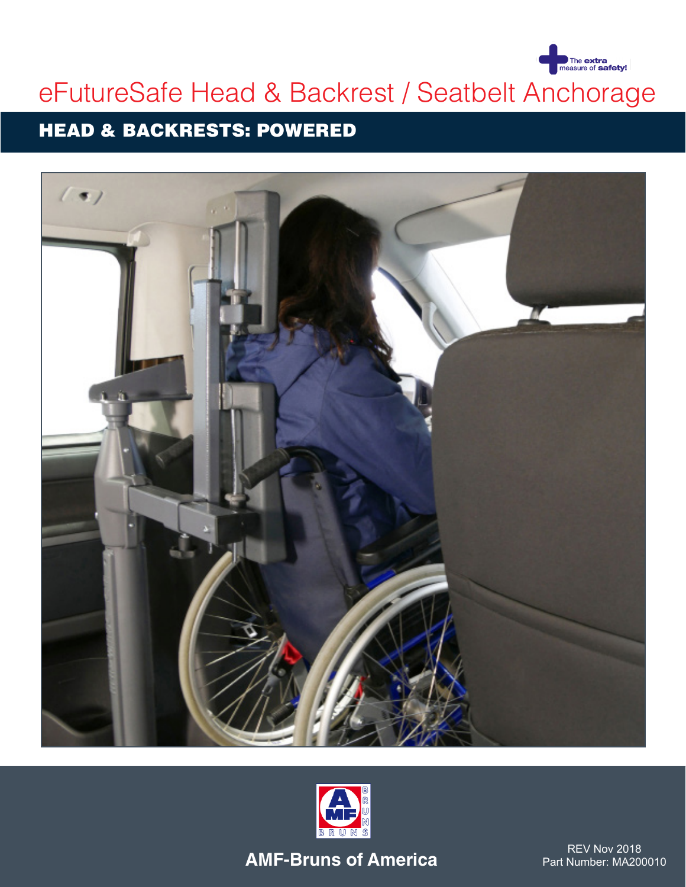

# eFutureSafe Head & Backrest / Seatbelt Anchorage

### HEAD & BACKRESTS: POWERED





**AMF-Bruns of America**

REV Nov 2018 Part Number: MA200010